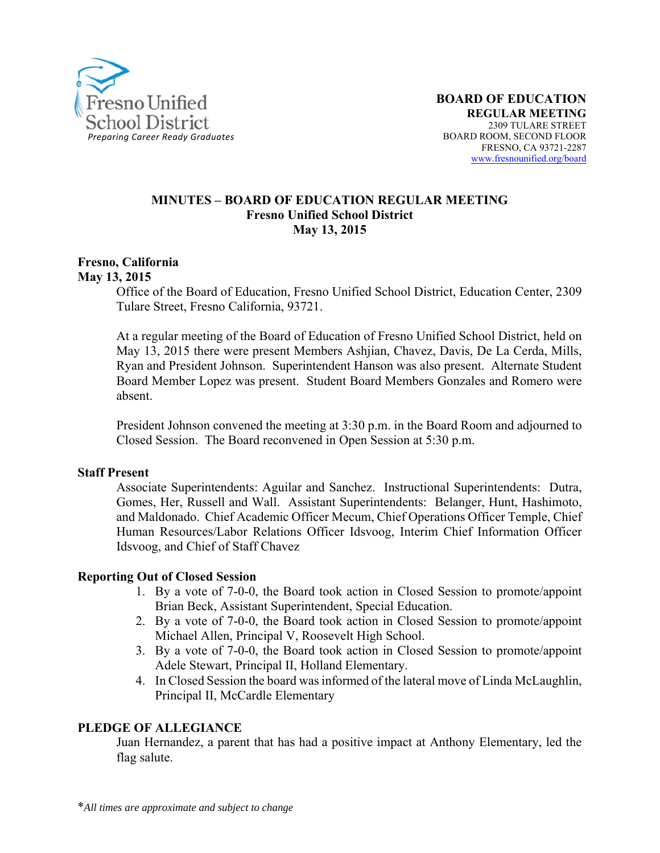

#### **MINUTES – BOARD OF EDUCATION REGULAR MEETING Fresno Unified School District May 13, 2015**

#### **Fresno, California May 13, 2015**

Office of the Board of Education, Fresno Unified School District, Education Center, 2309 Tulare Street, Fresno California, 93721.

At a regular meeting of the Board of Education of Fresno Unified School District, held on May 13, 2015 there were present Members Ashjian, Chavez, Davis, De La Cerda, Mills, Ryan and President Johnson. Superintendent Hanson was also present. Alternate Student Board Member Lopez was present. Student Board Members Gonzales and Romero were absent.

President Johnson convened the meeting at 3:30 p.m. in the Board Room and adjourned to Closed Session. The Board reconvened in Open Session at 5:30 p.m.

#### **Staff Present**

Associate Superintendents: Aguilar and Sanchez. Instructional Superintendents: Dutra, Gomes, Her, Russell and Wall. Assistant Superintendents: Belanger, Hunt, Hashimoto, and Maldonado. Chief Academic Officer Mecum, Chief Operations Officer Temple, Chief Human Resources/Labor Relations Officer Idsvoog, Interim Chief Information Officer Idsvoog, and Chief of Staff Chavez

#### **Reporting Out of Closed Session**

- 1. By a vote of 7-0-0, the Board took action in Closed Session to promote/appoint Brian Beck, Assistant Superintendent, Special Education.
- 2. By a vote of 7-0-0, the Board took action in Closed Session to promote/appoint Michael Allen, Principal V, Roosevelt High School.
- 3. By a vote of 7-0-0, the Board took action in Closed Session to promote/appoint Adele Stewart, Principal II, Holland Elementary.
- 4. In Closed Session the board was informed of the lateral move of Linda McLaughlin, Principal II, McCardle Elementary

#### **PLEDGE OF ALLEGIANCE**

Juan Hernandez, a parent that has had a positive impact at Anthony Elementary, led the flag salute.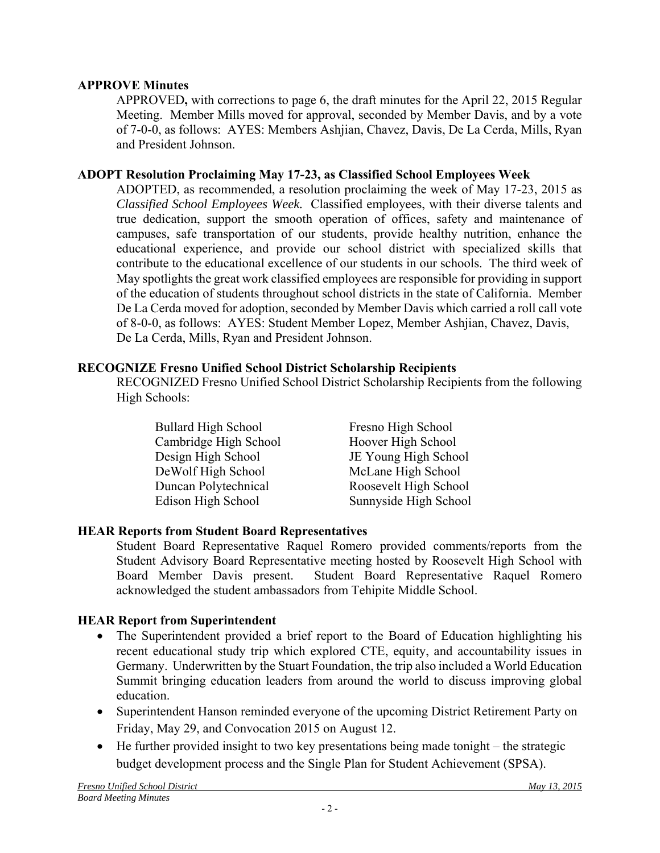## **APPROVE Minutes**

APPROVED**,** with corrections to page 6, the draft minutes for the April 22, 2015 Regular Meeting. Member Mills moved for approval, seconded by Member Davis, and by a vote of 7-0-0, as follows: AYES: Members Ashjian, Chavez, Davis, De La Cerda, Mills, Ryan and President Johnson.

### **ADOPT Resolution Proclaiming May 17-23, as Classified School Employees Week**

ADOPTED, as recommended, a resolution proclaiming the week of May 17-23, 2015 as *Classified School Employees Week.* Classified employees, with their diverse talents and true dedication, support the smooth operation of offices, safety and maintenance of campuses, safe transportation of our students, provide healthy nutrition, enhance the educational experience, and provide our school district with specialized skills that contribute to the educational excellence of our students in our schools. The third week of May spotlights the great work classified employees are responsible for providing in support of the education of students throughout school districts in the state of California. Member De La Cerda moved for adoption, seconded by Member Davis which carried a roll call vote of 8-0-0, as follows: AYES: Student Member Lopez, Member Ashjian, Chavez, Davis, De La Cerda, Mills, Ryan and President Johnson.

### **RECOGNIZE Fresno Unified School District Scholarship Recipients**

RECOGNIZED Fresno Unified School District Scholarship Recipients from the following High Schools:

| <b>Bullard High School</b> | Fresno High School    |
|----------------------------|-----------------------|
| Cambridge High School      | Hoover High School    |
| Design High School         | JE Young High School  |
| DeWolf High School         | McLane High School    |
| Duncan Polytechnical       | Roosevelt High School |
| Edison High School         | Sunnyside High School |

## **HEAR Reports from Student Board Representatives**

Student Board Representative Raquel Romero provided comments/reports from the Student Advisory Board Representative meeting hosted by Roosevelt High School with Board Member Davis present. Student Board Representative Raquel Romero acknowledged the student ambassadors from Tehipite Middle School.

### **HEAR Report from Superintendent**

- The Superintendent provided a brief report to the Board of Education highlighting his recent educational study trip which explored CTE, equity, and accountability issues in Germany. Underwritten by the Stuart Foundation, the trip also included a World Education Summit bringing education leaders from around the world to discuss improving global education.
- Superintendent Hanson reminded everyone of the upcoming District Retirement Party on Friday, May 29, and Convocation 2015 on August 12.
- $\bullet$  He further provided insight to two key presentations being made tonight the strategic budget development process and the Single Plan for Student Achievement (SPSA).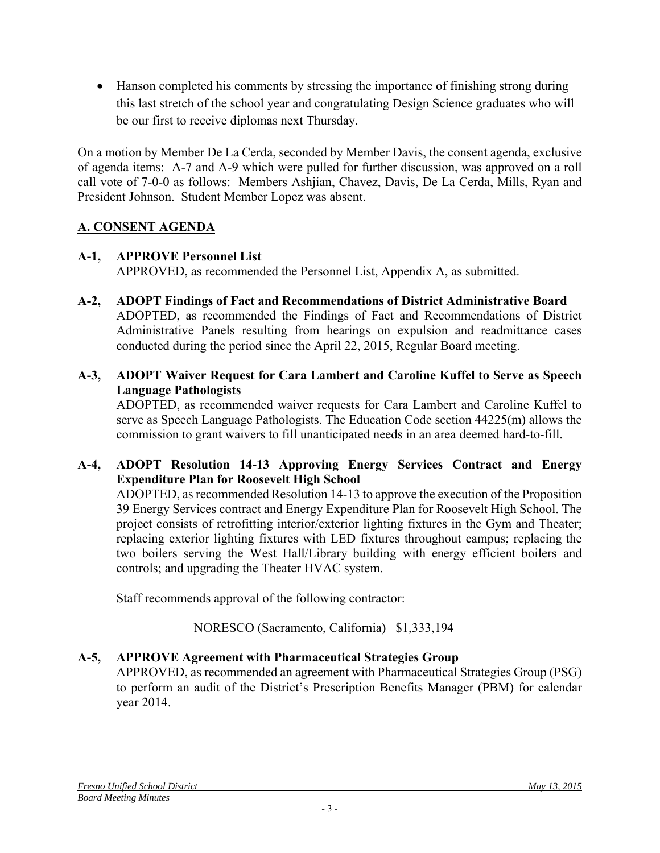Hanson completed his comments by stressing the importance of finishing strong during this last stretch of the school year and congratulating Design Science graduates who will be our first to receive diplomas next Thursday.

On a motion by Member De La Cerda, seconded by Member Davis, the consent agenda, exclusive of agenda items: A-7 and A-9 which were pulled for further discussion, was approved on a roll call vote of 7-0-0 as follows: Members Ashjian, Chavez, Davis, De La Cerda, Mills, Ryan and President Johnson. Student Member Lopez was absent.

# **A. CONSENT AGENDA**

## **A-1, APPROVE Personnel List**

APPROVED, as recommended the Personnel List, Appendix A, as submitted.

- **A-2, ADOPT Findings of Fact and Recommendations of District Administrative Board** ADOPTED, as recommended the Findings of Fact and Recommendations of District Administrative Panels resulting from hearings on expulsion and readmittance cases conducted during the period since the April 22, 2015, Regular Board meeting.
- **A-3, ADOPT Waiver Request for Cara Lambert and Caroline Kuffel to Serve as Speech Language Pathologists**

ADOPTED, as recommended waiver requests for Cara Lambert and Caroline Kuffel to serve as Speech Language Pathologists. The Education Code section 44225(m) allows the commission to grant waivers to fill unanticipated needs in an area deemed hard-to-fill.

# **A-4, ADOPT Resolution 14-13 Approving Energy Services Contract and Energy Expenditure Plan for Roosevelt High School**

ADOPTED, as recommended Resolution 14-13 to approve the execution of the Proposition 39 Energy Services contract and Energy Expenditure Plan for Roosevelt High School. The project consists of retrofitting interior/exterior lighting fixtures in the Gym and Theater; replacing exterior lighting fixtures with LED fixtures throughout campus; replacing the two boilers serving the West Hall/Library building with energy efficient boilers and controls; and upgrading the Theater HVAC system.

Staff recommends approval of the following contractor:

# NORESCO (Sacramento, California) \$1,333,194

# **A-5, APPROVE Agreement with Pharmaceutical Strategies Group**

APPROVED, as recommended an agreement with Pharmaceutical Strategies Group (PSG) to perform an audit of the District's Prescription Benefits Manager (PBM) for calendar year 2014.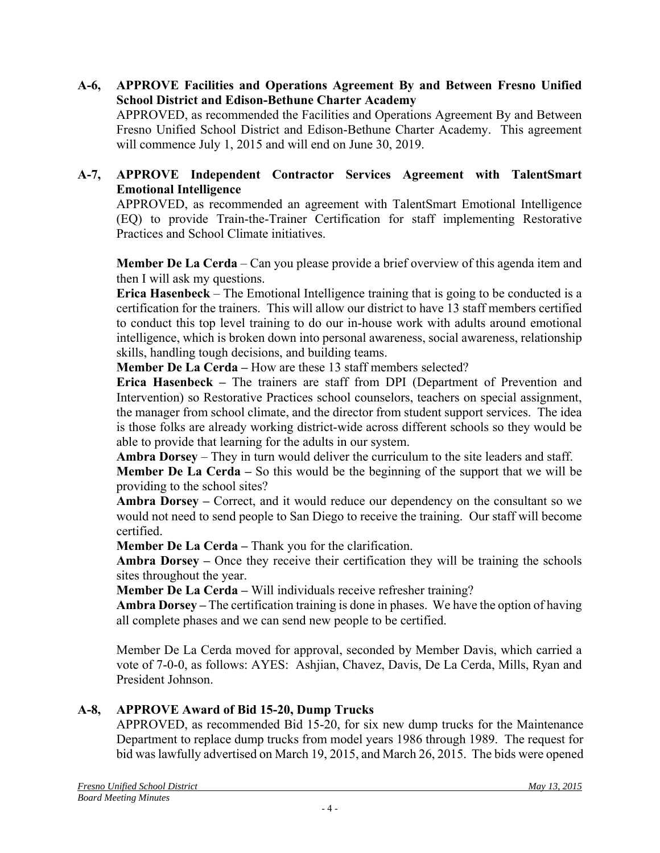**A-6, APPROVE Facilities and Operations Agreement By and Between Fresno Unified School District and Edison-Bethune Charter Academy**

APPROVED, as recommended the Facilities and Operations Agreement By and Between Fresno Unified School District and Edison-Bethune Charter Academy. This agreement will commence July 1, 2015 and will end on June 30, 2019.

## **A-7, APPROVE Independent Contractor Services Agreement with TalentSmart Emotional Intelligence**

APPROVED, as recommended an agreement with TalentSmart Emotional Intelligence (EQ) to provide Train-the-Trainer Certification for staff implementing Restorative Practices and School Climate initiatives.

**Member De La Cerda** – Can you please provide a brief overview of this agenda item and then I will ask my questions.

**Erica Hasenbeck** – The Emotional Intelligence training that is going to be conducted is a certification for the trainers. This will allow our district to have 13 staff members certified to conduct this top level training to do our in-house work with adults around emotional intelligence, which is broken down into personal awareness, social awareness, relationship skills, handling tough decisions, and building teams.

**Member De La Cerda** – How are these 13 staff members selected?

**Erica Hasenbeck –** The trainers are staff from DPI (Department of Prevention and Intervention) so Restorative Practices school counselors, teachers on special assignment, the manager from school climate, and the director from student support services. The idea is those folks are already working district-wide across different schools so they would be able to provide that learning for the adults in our system.

**Ambra Dorsey** – They in turn would deliver the curriculum to the site leaders and staff.

**Member De La Cerda –** So this would be the beginning of the support that we will be providing to the school sites?

**Ambra Dorsey –** Correct, and it would reduce our dependency on the consultant so we would not need to send people to San Diego to receive the training. Our staff will become certified.

**Member De La Cerda –** Thank you for the clarification.

**Ambra Dorsey –** Once they receive their certification they will be training the schools sites throughout the year.

**Member De La Cerda –** Will individuals receive refresher training?

**Ambra Dorsey –** The certification training is done in phases. We have the option of having all complete phases and we can send new people to be certified.

Member De La Cerda moved for approval, seconded by Member Davis, which carried a vote of 7-0-0, as follows: AYES: Ashjian, Chavez, Davis, De La Cerda, Mills, Ryan and President Johnson.

## **A-8, APPROVE Award of Bid 15-20, Dump Trucks**

APPROVED, as recommended Bid 15-20, for six new dump trucks for the Maintenance Department to replace dump trucks from model years 1986 through 1989. The request for bid was lawfully advertised on March 19, 2015, and March 26, 2015. The bids were opened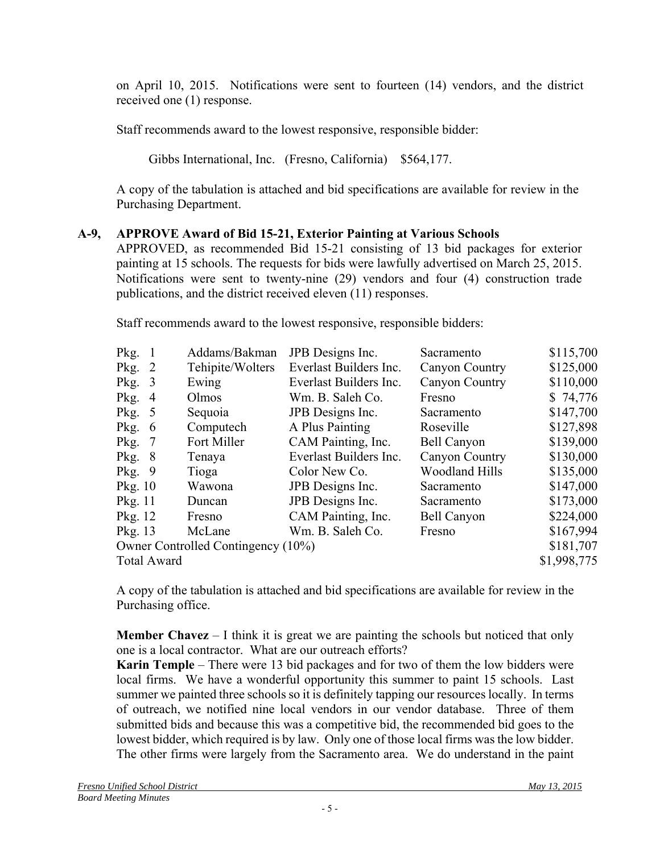on April 10, 2015. Notifications were sent to fourteen (14) vendors, and the district received one (1) response.

Staff recommends award to the lowest responsive, responsible bidder:

Gibbs International, Inc. (Fresno, California) \$564,177.

A copy of the tabulation is attached and bid specifications are available for review in the Purchasing Department.

# **A-9, APPROVE Award of Bid 15-21, Exterior Painting at Various Schools**

APPROVED, as recommended Bid 15-21 consisting of 13 bid packages for exterior painting at 15 schools. The requests for bids were lawfully advertised on March 25, 2015. Notifications were sent to twenty-nine (29) vendors and four (4) construction trade publications, and the district received eleven (11) responses.

Staff recommends award to the lowest responsive, responsible bidders:

| Pkg.                               | Addams/Bakman    | JPB Designs Inc.       | Sacramento            | \$115,700   |
|------------------------------------|------------------|------------------------|-----------------------|-------------|
| Pkg.<br><sup>2</sup>               | Tehipite/Wolters | Everlast Builders Inc. | Canyon Country        | \$125,000   |
| Pkg.<br>3                          | Ewing            | Everlast Builders Inc. | <b>Canyon Country</b> | \$110,000   |
| Pkg.<br>$\overline{4}$             | Olmos            | Wm. B. Saleh Co.       | Fresno                | \$74,776    |
| Pkg.<br>5 <sup>5</sup>             | Sequoia          | JPB Designs Inc.       | Sacramento            | \$147,700   |
| Pkg.<br>6                          | Computech        | A Plus Painting        | Roseville             | \$127,898   |
| Pkg.<br>-7                         | Fort Miller      | CAM Painting, Inc.     | <b>Bell Canyon</b>    | \$139,000   |
| Pkg.<br>-8                         | Tenaya           | Everlast Builders Inc. | Canyon Country        | \$130,000   |
| Pkg.<br>- 9                        | Tioga            | Color New Co.          | <b>Woodland Hills</b> | \$135,000   |
| Pkg. 10                            | Wawona           | JPB Designs Inc.       | Sacramento            | \$147,000   |
| Pkg. 11                            | Duncan           | JPB Designs Inc.       | Sacramento            | \$173,000   |
| Pkg. 12                            | Fresno           | CAM Painting, Inc.     | <b>Bell Canyon</b>    | \$224,000   |
| Pkg. 13                            | McLane           | Wm. B. Saleh Co.       | Fresno                | \$167,994   |
| Owner Controlled Contingency (10%) |                  |                        |                       | \$181,707   |
| <b>Total Award</b>                 |                  |                        |                       | \$1,998,775 |

A copy of the tabulation is attached and bid specifications are available for review in the Purchasing office.

**Member Chavez** – I think it is great we are painting the schools but noticed that only one is a local contractor. What are our outreach efforts?

**Karin Temple** – There were 13 bid packages and for two of them the low bidders were local firms. We have a wonderful opportunity this summer to paint 15 schools. Last summer we painted three schools so it is definitely tapping our resources locally. In terms of outreach, we notified nine local vendors in our vendor database. Three of them submitted bids and because this was a competitive bid, the recommended bid goes to the lowest bidder, which required is by law. Only one of those local firms was the low bidder. The other firms were largely from the Sacramento area. We do understand in the paint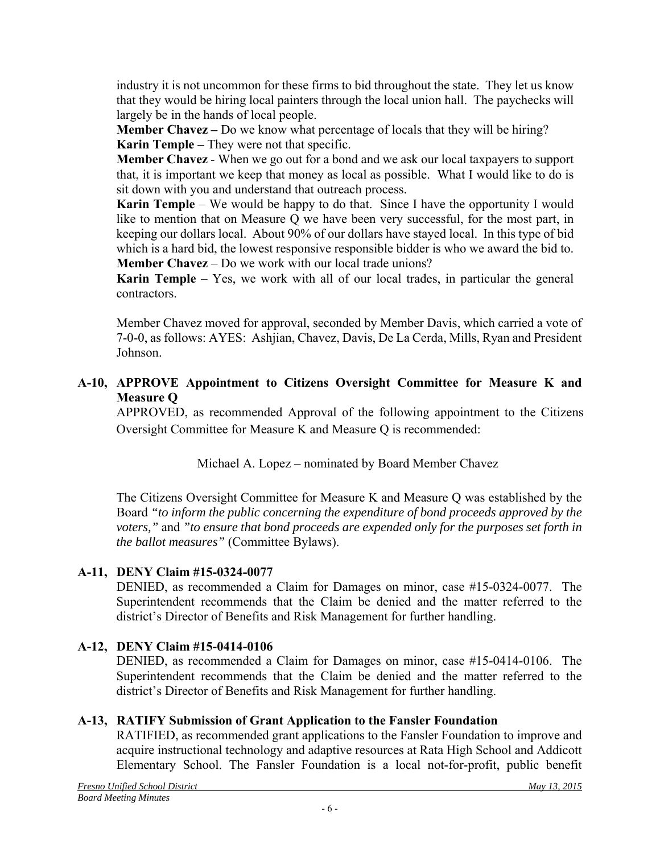industry it is not uncommon for these firms to bid throughout the state. They let us know that they would be hiring local painters through the local union hall. The paychecks will largely be in the hands of local people.

**Member Chavez –** Do we know what percentage of locals that they will be hiring? **Karin Temple –** They were not that specific.

**Member Chavez** - When we go out for a bond and we ask our local taxpayers to support that, it is important we keep that money as local as possible. What I would like to do is sit down with you and understand that outreach process.

**Karin Temple** – We would be happy to do that. Since I have the opportunity I would like to mention that on Measure Q we have been very successful, for the most part, in keeping our dollars local. About 90% of our dollars have stayed local. In this type of bid which is a hard bid, the lowest responsive responsible bidder is who we award the bid to. **Member Chavez** – Do we work with our local trade unions?

**Karin Temple** – Yes, we work with all of our local trades, in particular the general contractors.

Member Chavez moved for approval, seconded by Member Davis, which carried a vote of 7-0-0, as follows: AYES: Ashjian, Chavez, Davis, De La Cerda, Mills, Ryan and President Johnson.

### **A-10, APPROVE Appointment to Citizens Oversight Committee for Measure K and Measure Q**

APPROVED, as recommended Approval of the following appointment to the Citizens Oversight Committee for Measure K and Measure Q is recommended:

Michael A. Lopez – nominated by Board Member Chavez

The Citizens Oversight Committee for Measure K and Measure Q was established by the Board *"to inform the public concerning the expenditure of bond proceeds approved by the voters,"* and *"to ensure that bond proceeds are expended only for the purposes set forth in the ballot measures"* (Committee Bylaws).

## **A-11, DENY Claim #15-0324-0077**

DENIED, as recommended a Claim for Damages on minor, case #15-0324-0077. The Superintendent recommends that the Claim be denied and the matter referred to the district's Director of Benefits and Risk Management for further handling.

# **A-12, DENY Claim #15-0414-0106**

DENIED, as recommended a Claim for Damages on minor, case #15-0414-0106. The Superintendent recommends that the Claim be denied and the matter referred to the district's Director of Benefits and Risk Management for further handling.

## **A-13, RATIFY Submission of Grant Application to the Fansler Foundation**

RATIFIED, as recommended grant applications to the Fansler Foundation to improve and acquire instructional technology and adaptive resources at Rata High School and Addicott Elementary School. The Fansler Foundation is a local not-for-profit, public benefit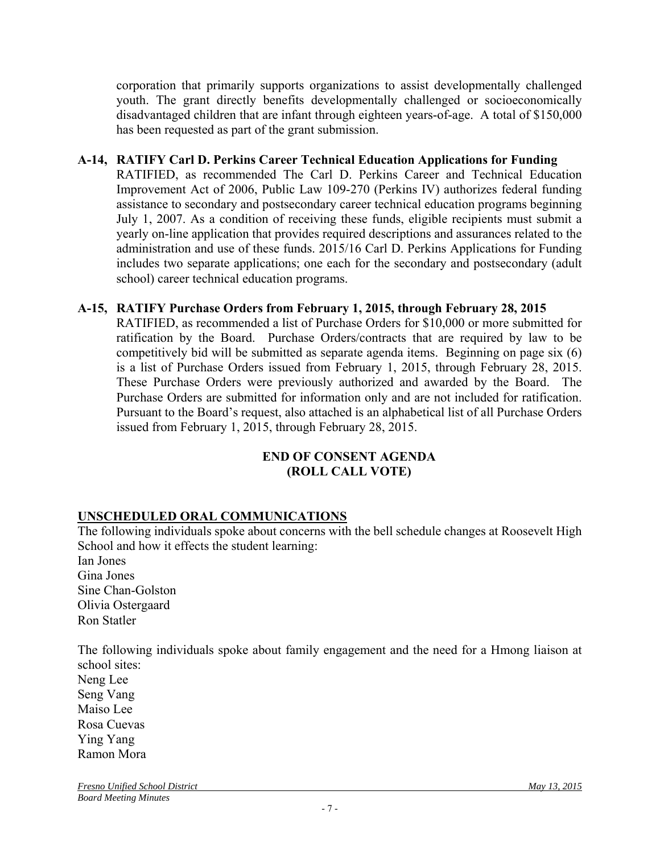corporation that primarily supports organizations to assist developmentally challenged youth. The grant directly benefits developmentally challenged or socioeconomically disadvantaged children that are infant through eighteen years-of-age. A total of \$150,000 has been requested as part of the grant submission.

### **A-14, RATIFY Carl D. Perkins Career Technical Education Applications for Funding**

RATIFIED, as recommended The Carl D. Perkins Career and Technical Education Improvement Act of 2006, Public Law 109-270 (Perkins IV) authorizes federal funding assistance to secondary and postsecondary career technical education programs beginning July 1, 2007. As a condition of receiving these funds, eligible recipients must submit a yearly on-line application that provides required descriptions and assurances related to the administration and use of these funds. 2015/16 Carl D. Perkins Applications for Funding includes two separate applications; one each for the secondary and postsecondary (adult school) career technical education programs.

### **A-15, RATIFY Purchase Orders from February 1, 2015, through February 28, 2015**

RATIFIED, as recommended a list of Purchase Orders for \$10,000 or more submitted for ratification by the Board. Purchase Orders/contracts that are required by law to be competitively bid will be submitted as separate agenda items. Beginning on page six (6) is a list of Purchase Orders issued from February 1, 2015, through February 28, 2015. These Purchase Orders were previously authorized and awarded by the Board. The Purchase Orders are submitted for information only and are not included for ratification. Pursuant to the Board's request, also attached is an alphabetical list of all Purchase Orders issued from February 1, 2015, through February 28, 2015.

### **END OF CONSENT AGENDA (ROLL CALL VOTE)**

## **UNSCHEDULED ORAL COMMUNICATIONS**

The following individuals spoke about concerns with the bell schedule changes at Roosevelt High School and how it effects the student learning:

Ian Jones Gina Jones Sine Chan-Golston Olivia Ostergaard Ron Statler

The following individuals spoke about family engagement and the need for a Hmong liaison at school sites:

Neng Lee Seng Vang Maiso Lee Rosa Cuevas Ying Yang Ramon Mora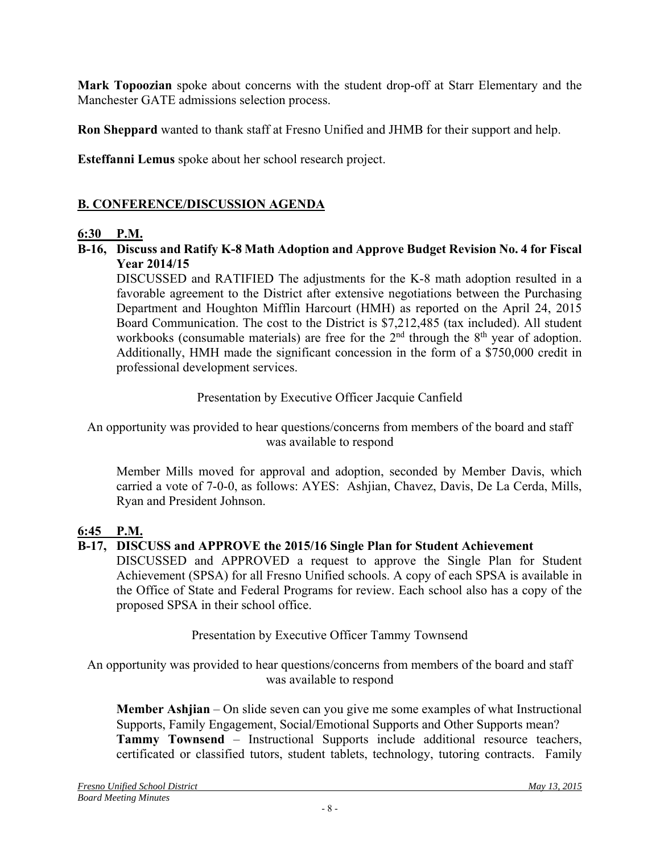**Mark Topoozian** spoke about concerns with the student drop-off at Starr Elementary and the Manchester GATE admissions selection process.

**Ron Sheppard** wanted to thank staff at Fresno Unified and JHMB for their support and help.

**Esteffanni Lemus** spoke about her school research project.

# **B. CONFERENCE/DISCUSSION AGENDA**

## **6:30 P.M.**

**B-16, Discuss and Ratify K-8 Math Adoption and Approve Budget Revision No. 4 for Fiscal Year 2014/15** 

DISCUSSED and RATIFIED The adjustments for the K-8 math adoption resulted in a favorable agreement to the District after extensive negotiations between the Purchasing Department and Houghton Mifflin Harcourt (HMH) as reported on the April 24, 2015 Board Communication. The cost to the District is \$7,212,485 (tax included). All student workbooks (consumable materials) are free for the  $2<sup>nd</sup>$  through the  $8<sup>th</sup>$  year of adoption. Additionally, HMH made the significant concession in the form of a \$750,000 credit in professional development services.

Presentation by Executive Officer Jacquie Canfield

An opportunity was provided to hear questions/concerns from members of the board and staff was available to respond

Member Mills moved for approval and adoption, seconded by Member Davis, which carried a vote of 7-0-0, as follows: AYES: Ashjian, Chavez, Davis, De La Cerda, Mills, Ryan and President Johnson.

## **6:45 P.M.**

## **B-17, DISCUSS and APPROVE the 2015/16 Single Plan for Student Achievement**

DISCUSSED and APPROVED a request to approve the Single Plan for Student Achievement (SPSA) for all Fresno Unified schools. A copy of each SPSA is available in the Office of State and Federal Programs for review. Each school also has a copy of the proposed SPSA in their school office.

Presentation by Executive Officer Tammy Townsend

An opportunity was provided to hear questions/concerns from members of the board and staff was available to respond

**Member Ashjian** – On slide seven can you give me some examples of what Instructional Supports, Family Engagement, Social/Emotional Supports and Other Supports mean? **Tammy Townsend** – Instructional Supports include additional resource teachers, certificated or classified tutors, student tablets, technology, tutoring contracts. Family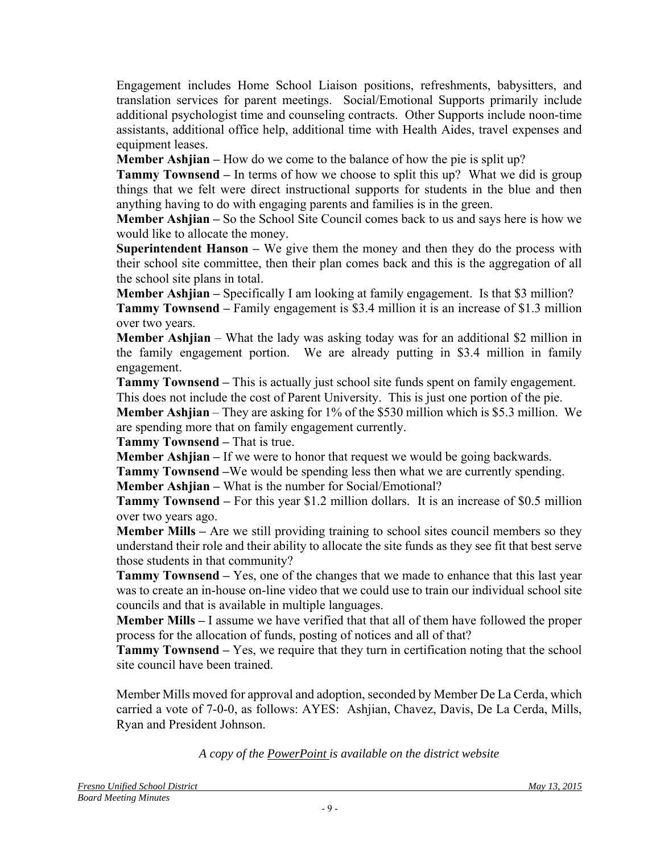Engagement includes Home School Liaison positions, refreshments, babysitters, and translation services for parent meetings. Social/Emotional Supports primarily include additional psychologist time and counseling contracts. Other Supports include noon-time assistants, additional office help, additional time with Health Aides, travel expenses and equipment leases.

**Member Ashjian** – How do we come to the balance of how the pie is split up?

**Tammy Townsend –** In terms of how we choose to split this up? What we did is group things that we felt were direct instructional supports for students in the blue and then anything having to do with engaging parents and families is in the green.

**Member Ashjian –** So the School Site Council comes back to us and says here is how we would like to allocate the money.

**Superintendent Hanson –** We give them the money and then they do the process with their school site committee, then their plan comes back and this is the aggregation of all the school site plans in total.

**Member Ashjian –** Specifically I am looking at family engagement. Is that \$3 million? **Tammy Townsend –** Family engagement is \$3.4 million it is an increase of \$1.3 million over two years.

**Member Ashjian** – What the lady was asking today was for an additional \$2 million in the family engagement portion. We are already putting in \$3.4 million in family engagement.

**Tammy Townsend –** This is actually just school site funds spent on family engagement. This does not include the cost of Parent University. This is just one portion of the pie.

**Member Ashjian** – They are asking for 1% of the \$530 million which is \$5.3 million. We are spending more that on family engagement currently.

**Tammy Townsend –** That is true.

**Member Ashjian –** If we were to honor that request we would be going backwards.

**Tammy Townsend –**We would be spending less then what we are currently spending.

**Member Ashjian –** What is the number for Social/Emotional?

**Tammy Townsend –** For this year \$1.2 million dollars. It is an increase of \$0.5 million over two years ago.

**Member Mills** – Are we still providing training to school sites council members so they understand their role and their ability to allocate the site funds as they see fit that best serve those students in that community?

**Tammy Townsend –** Yes, one of the changes that we made to enhance that this last year was to create an in-house on-line video that we could use to train our individual school site councils and that is available in multiple languages.

**Member Mills –** I assume we have verified that that all of them have followed the proper process for the allocation of funds, posting of notices and all of that?

**Tammy Townsend –** Yes, we require that they turn in certification noting that the school site council have been trained.

Member Mills moved for approval and adoption, seconded by Member De La Cerda, which carried a vote of 7-0-0, as follows: AYES: Ashjian, Chavez, Davis, De La Cerda, Mills, Ryan and President Johnson.

*A copy of the PowerPoint is available on the district website*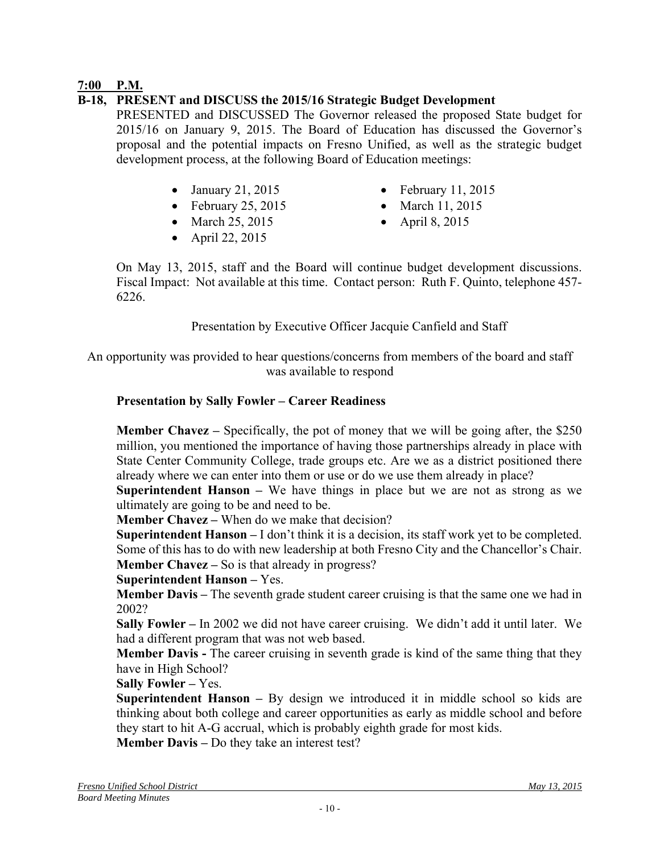## **7:00 P.M.**

## **B-18, PRESENT and DISCUSS the 2015/16 Strategic Budget Development**

PRESENTED and DISCUSSED The Governor released the proposed State budget for 2015/16 on January 9, 2015. The Board of Education has discussed the Governor's proposal and the potential impacts on Fresno Unified, as well as the strategic budget development process, at the following Board of Education meetings:

- 
- February 25, 2015 March 11, 2015
- March 25, 2015 April 8, 2015
- $\bullet$  April 22, 2015
- January 21, 2015 February 11, 2015
	-
	-

On May 13, 2015, staff and the Board will continue budget development discussions. Fiscal Impact: Not available at this time. Contact person: Ruth F. Quinto, telephone 457- 6226.

Presentation by Executive Officer Jacquie Canfield and Staff

An opportunity was provided to hear questions/concerns from members of the board and staff was available to respond

### **Presentation by Sally Fowler – Career Readiness**

**Member Chavez –** Specifically, the pot of money that we will be going after, the \$250 million, you mentioned the importance of having those partnerships already in place with State Center Community College, trade groups etc. Are we as a district positioned there already where we can enter into them or use or do we use them already in place?

**Superintendent Hanson –** We have things in place but we are not as strong as we ultimately are going to be and need to be.

**Member Chavez –** When do we make that decision?

**Superintendent Hanson –** I don't think it is a decision, its staff work yet to be completed. Some of this has to do with new leadership at both Fresno City and the Chancellor's Chair. **Member Chavez** – So is that already in progress?

### **Superintendent Hanson –** Yes.

**Member Davis –** The seventh grade student career cruising is that the same one we had in 2002?

**Sally Fowler –** In 2002 we did not have career cruising. We didn't add it until later. We had a different program that was not web based.

**Member Davis -** The career cruising in seventh grade is kind of the same thing that they have in High School?

**Sally Fowler –** Yes.

**Superintendent Hanson –** By design we introduced it in middle school so kids are thinking about both college and career opportunities as early as middle school and before they start to hit A-G accrual, which is probably eighth grade for most kids.

**Member Davis –** Do they take an interest test?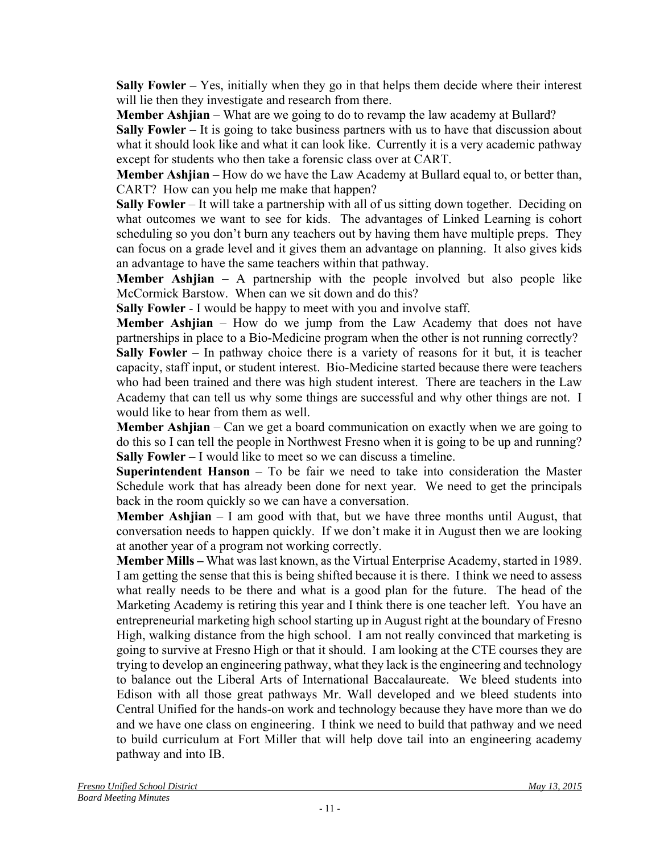**Sally Fowler –** Yes, initially when they go in that helps them decide where their interest will lie then they investigate and research from there.

**Member Ashjian** – What are we going to do to revamp the law academy at Bullard?

**Sally Fowler** – It is going to take business partners with us to have that discussion about what it should look like and what it can look like. Currently it is a very academic pathway except for students who then take a forensic class over at CART.

**Member Ashjian** – How do we have the Law Academy at Bullard equal to, or better than, CART? How can you help me make that happen?

**Sally Fowler** – It will take a partnership with all of us sitting down together. Deciding on what outcomes we want to see for kids. The advantages of Linked Learning is cohort scheduling so you don't burn any teachers out by having them have multiple preps. They can focus on a grade level and it gives them an advantage on planning. It also gives kids an advantage to have the same teachers within that pathway.

**Member Ashjian** – A partnership with the people involved but also people like McCormick Barstow. When can we sit down and do this?

**Sally Fowler** - I would be happy to meet with you and involve staff.

**Member Ashjian** – How do we jump from the Law Academy that does not have partnerships in place to a Bio-Medicine program when the other is not running correctly?

**Sally Fowler** – In pathway choice there is a variety of reasons for it but, it is teacher capacity, staff input, or student interest. Bio-Medicine started because there were teachers who had been trained and there was high student interest. There are teachers in the Law Academy that can tell us why some things are successful and why other things are not. I would like to hear from them as well.

**Member Ashijan** – Can we get a board communication on exactly when we are going to do this so I can tell the people in Northwest Fresno when it is going to be up and running? **Sally Fowler** – I would like to meet so we can discuss a timeline.

**Superintendent Hanson** – To be fair we need to take into consideration the Master Schedule work that has already been done for next year. We need to get the principals back in the room quickly so we can have a conversation.

**Member Ashjian** – I am good with that, but we have three months until August, that conversation needs to happen quickly. If we don't make it in August then we are looking at another year of a program not working correctly.

**Member Mills –** What was last known, as the Virtual Enterprise Academy, started in 1989. I am getting the sense that this is being shifted because it is there. I think we need to assess what really needs to be there and what is a good plan for the future. The head of the Marketing Academy is retiring this year and I think there is one teacher left. You have an entrepreneurial marketing high school starting up in August right at the boundary of Fresno High, walking distance from the high school. I am not really convinced that marketing is going to survive at Fresno High or that it should. I am looking at the CTE courses they are trying to develop an engineering pathway, what they lack is the engineering and technology to balance out the Liberal Arts of International Baccalaureate. We bleed students into Edison with all those great pathways Mr. Wall developed and we bleed students into Central Unified for the hands-on work and technology because they have more than we do and we have one class on engineering. I think we need to build that pathway and we need to build curriculum at Fort Miller that will help dove tail into an engineering academy pathway and into IB.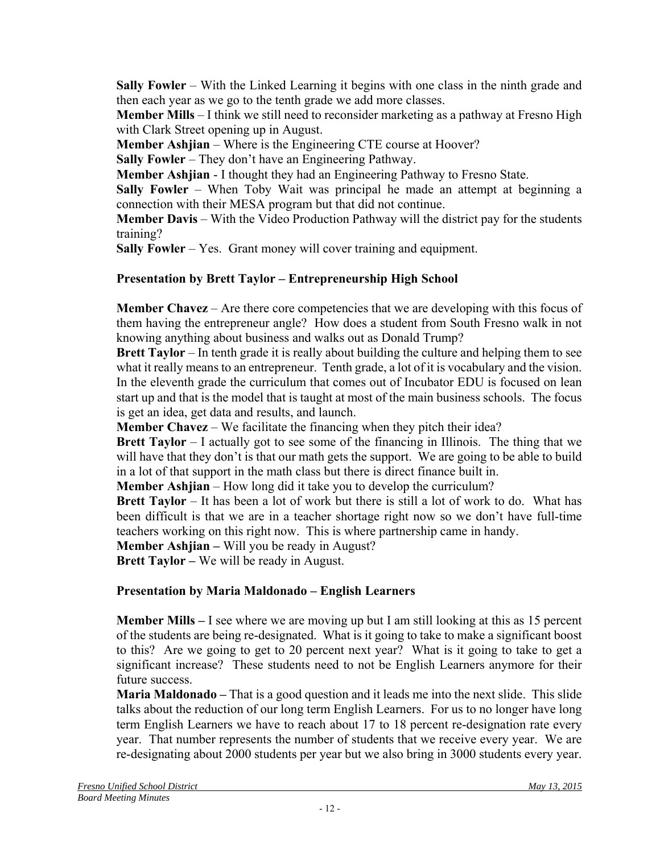**Sally Fowler** – With the Linked Learning it begins with one class in the ninth grade and then each year as we go to the tenth grade we add more classes.

**Member Mills** – I think we still need to reconsider marketing as a pathway at Fresno High with Clark Street opening up in August.

**Member Ashjian** – Where is the Engineering CTE course at Hoover?

**Sally Fowler** – They don't have an Engineering Pathway.

**Member Ashjian** - I thought they had an Engineering Pathway to Fresno State.

**Sally Fowler** – When Toby Wait was principal he made an attempt at beginning a connection with their MESA program but that did not continue.

**Member Davis** – With the Video Production Pathway will the district pay for the students training?

**Sally Fowler** – Yes. Grant money will cover training and equipment.

## **Presentation by Brett Taylor – Entrepreneurship High School**

**Member Chavez** – Are there core competencies that we are developing with this focus of them having the entrepreneur angle? How does a student from South Fresno walk in not knowing anything about business and walks out as Donald Trump?

**Brett Taylor** – In tenth grade it is really about building the culture and helping them to see what it really means to an entrepreneur. Tenth grade, a lot of it is vocabulary and the vision. In the eleventh grade the curriculum that comes out of Incubator EDU is focused on lean start up and that is the model that is taught at most of the main business schools. The focus is get an idea, get data and results, and launch.

**Member Chavez** – We facilitate the financing when they pitch their idea?

**Brett Taylor** – I actually got to see some of the financing in Illinois. The thing that we will have that they don't is that our math gets the support. We are going to be able to build in a lot of that support in the math class but there is direct finance built in.

**Member Ashiian** – How long did it take you to develop the curriculum?

**Brett Taylor** – It has been a lot of work but there is still a lot of work to do. What has been difficult is that we are in a teacher shortage right now so we don't have full-time teachers working on this right now. This is where partnership came in handy.

**Member Ashiian** – Will you be ready in August?

**Brett Taylor –** We will be ready in August.

## **Presentation by Maria Maldonado – English Learners**

**Member Mills –** I see where we are moving up but I am still looking at this as 15 percent of the students are being re-designated. What is it going to take to make a significant boost to this? Are we going to get to 20 percent next year? What is it going to take to get a significant increase? These students need to not be English Learners anymore for their future success.

**Maria Maldonado –** That is a good question and it leads me into the next slide. This slide talks about the reduction of our long term English Learners. For us to no longer have long term English Learners we have to reach about 17 to 18 percent re-designation rate every year. That number represents the number of students that we receive every year. We are re-designating about 2000 students per year but we also bring in 3000 students every year.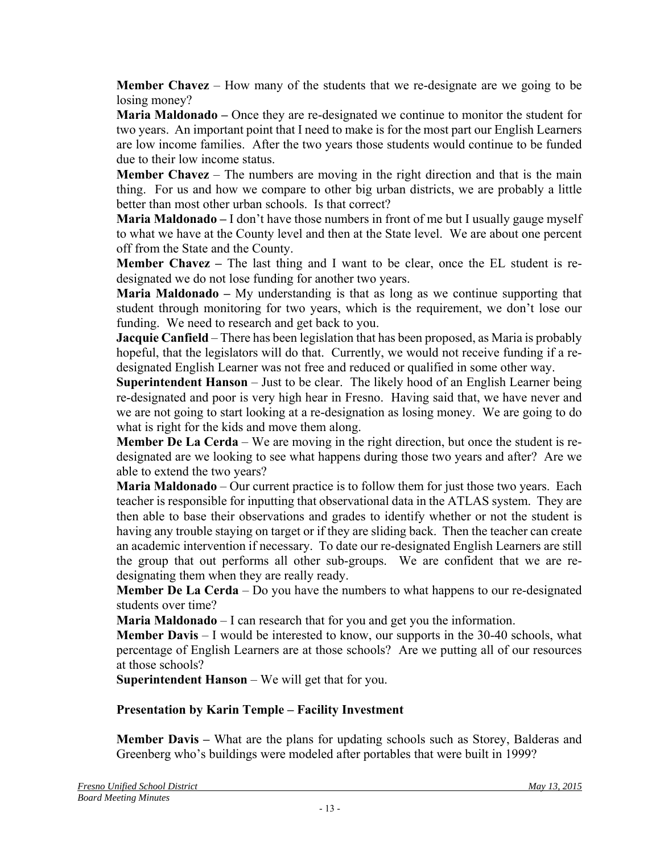**Member Chavez** – How many of the students that we re-designate are we going to be losing money?

**Maria Maldonado** – Once they are re-designated we continue to monitor the student for two years. An important point that I need to make is for the most part our English Learners are low income families. After the two years those students would continue to be funded due to their low income status.

**Member Chavez** – The numbers are moving in the right direction and that is the main thing. For us and how we compare to other big urban districts, we are probably a little better than most other urban schools. Is that correct?

**Maria Maldonado –** I don't have those numbers in front of me but I usually gauge myself to what we have at the County level and then at the State level. We are about one percent off from the State and the County.

**Member Chavez –** The last thing and I want to be clear, once the EL student is redesignated we do not lose funding for another two years.

**Maria Maldonado –** My understanding is that as long as we continue supporting that student through monitoring for two years, which is the requirement, we don't lose our funding. We need to research and get back to you.

**Jacquie Canfield** – There has been legislation that has been proposed, as Maria is probably hopeful, that the legislators will do that. Currently, we would not receive funding if a redesignated English Learner was not free and reduced or qualified in some other way.

**Superintendent Hanson** – Just to be clear. The likely hood of an English Learner being re-designated and poor is very high hear in Fresno. Having said that, we have never and we are not going to start looking at a re-designation as losing money. We are going to do what is right for the kids and move them along.

**Member De La Cerda** – We are moving in the right direction, but once the student is redesignated are we looking to see what happens during those two years and after? Are we able to extend the two years?

**Maria Maldonado** – Our current practice is to follow them for just those two years. Each teacher is responsible for inputting that observational data in the ATLAS system. They are then able to base their observations and grades to identify whether or not the student is having any trouble staying on target or if they are sliding back. Then the teacher can create an academic intervention if necessary. To date our re-designated English Learners are still the group that out performs all other sub-groups. We are confident that we are redesignating them when they are really ready.

**Member De La Cerda** – Do you have the numbers to what happens to our re-designated students over time?

**Maria Maldonado** – I can research that for you and get you the information.

**Member Davis** – I would be interested to know, our supports in the 30-40 schools, what percentage of English Learners are at those schools? Are we putting all of our resources at those schools?

**Superintendent Hanson** – We will get that for you.

## **Presentation by Karin Temple – Facility Investment**

**Member Davis –** What are the plans for updating schools such as Storey, Balderas and Greenberg who's buildings were modeled after portables that were built in 1999?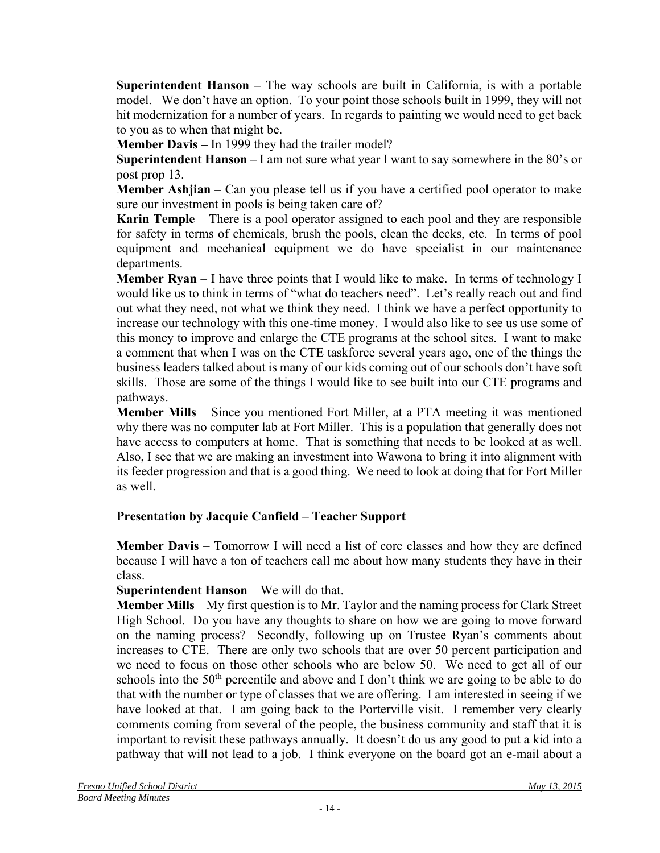**Superintendent Hanson –** The way schools are built in California, is with a portable model. We don't have an option. To your point those schools built in 1999, they will not hit modernization for a number of years. In regards to painting we would need to get back to you as to when that might be.

**Member Davis –** In 1999 they had the trailer model?

**Superintendent Hanson –** I am not sure what year I want to say somewhere in the 80's or post prop 13.

**Member Ashjian** – Can you please tell us if you have a certified pool operator to make sure our investment in pools is being taken care of?

**Karin Temple** – There is a pool operator assigned to each pool and they are responsible for safety in terms of chemicals, brush the pools, clean the decks, etc. In terms of pool equipment and mechanical equipment we do have specialist in our maintenance departments.

**Member Ryan** – I have three points that I would like to make. In terms of technology I would like us to think in terms of "what do teachers need". Let's really reach out and find out what they need, not what we think they need. I think we have a perfect opportunity to increase our technology with this one-time money. I would also like to see us use some of this money to improve and enlarge the CTE programs at the school sites. I want to make a comment that when I was on the CTE taskforce several years ago, one of the things the business leaders talked about is many of our kids coming out of our schools don't have soft skills. Those are some of the things I would like to see built into our CTE programs and pathways.

**Member Mills** – Since you mentioned Fort Miller, at a PTA meeting it was mentioned why there was no computer lab at Fort Miller. This is a population that generally does not have access to computers at home. That is something that needs to be looked at as well. Also, I see that we are making an investment into Wawona to bring it into alignment with its feeder progression and that is a good thing. We need to look at doing that for Fort Miller as well.

## **Presentation by Jacquie Canfield – Teacher Support**

**Member Davis** – Tomorrow I will need a list of core classes and how they are defined because I will have a ton of teachers call me about how many students they have in their class.

### **Superintendent Hanson** – We will do that.

**Member Mills** – My first question is to Mr. Taylor and the naming process for Clark Street High School. Do you have any thoughts to share on how we are going to move forward on the naming process? Secondly, following up on Trustee Ryan's comments about increases to CTE. There are only two schools that are over 50 percent participation and we need to focus on those other schools who are below 50. We need to get all of our schools into the 50<sup>th</sup> percentile and above and I don't think we are going to be able to do that with the number or type of classes that we are offering. I am interested in seeing if we have looked at that. I am going back to the Porterville visit. I remember very clearly comments coming from several of the people, the business community and staff that it is important to revisit these pathways annually. It doesn't do us any good to put a kid into a pathway that will not lead to a job. I think everyone on the board got an e-mail about a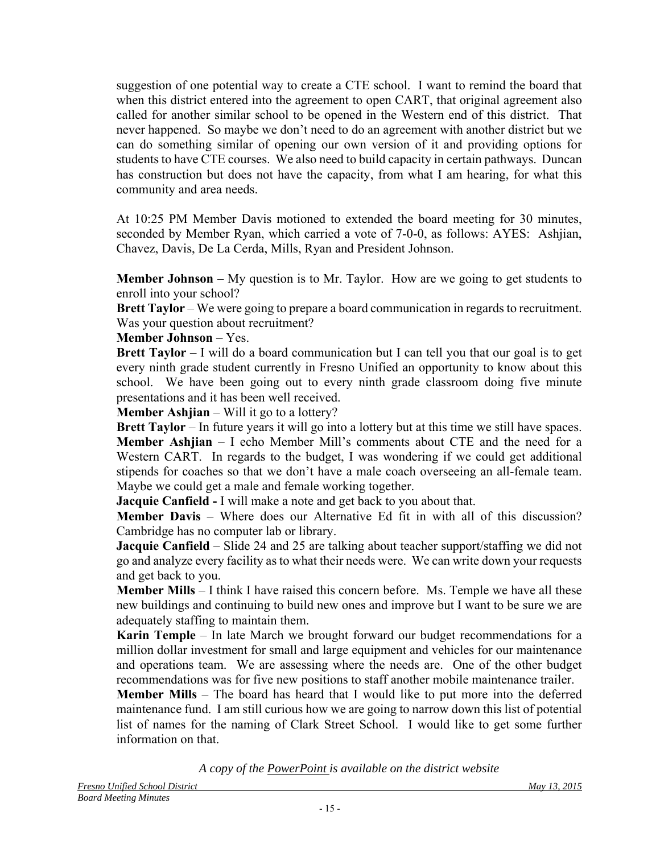suggestion of one potential way to create a CTE school. I want to remind the board that when this district entered into the agreement to open CART, that original agreement also called for another similar school to be opened in the Western end of this district. That never happened. So maybe we don't need to do an agreement with another district but we can do something similar of opening our own version of it and providing options for students to have CTE courses. We also need to build capacity in certain pathways. Duncan has construction but does not have the capacity, from what I am hearing, for what this community and area needs.

At 10:25 PM Member Davis motioned to extended the board meeting for 30 minutes, seconded by Member Ryan, which carried a vote of 7-0-0, as follows: AYES: Ashjian, Chavez, Davis, De La Cerda, Mills, Ryan and President Johnson.

**Member Johnson** – My question is to Mr. Taylor. How are we going to get students to enroll into your school?

**Brett Taylor** – We were going to prepare a board communication in regards to recruitment. Was your question about recruitment?

### **Member Johnson** – Yes.

**Brett Taylor** – I will do a board communication but I can tell you that our goal is to get every ninth grade student currently in Fresno Unified an opportunity to know about this school. We have been going out to every ninth grade classroom doing five minute presentations and it has been well received.

**Member Ashjian** – Will it go to a lottery?

**Brett Taylor** – In future years it will go into a lottery but at this time we still have spaces. **Member Ashjian** – I echo Member Mill's comments about CTE and the need for a Western CART. In regards to the budget, I was wondering if we could get additional stipends for coaches so that we don't have a male coach overseeing an all-female team. Maybe we could get a male and female working together.

**Jacquie Canfield -** I will make a note and get back to you about that.

**Member Davis** – Where does our Alternative Ed fit in with all of this discussion? Cambridge has no computer lab or library.

**Jacquie Canfield** – Slide 24 and 25 are talking about teacher support/staffing we did not go and analyze every facility as to what their needs were. We can write down your requests and get back to you.

**Member Mills** – I think I have raised this concern before. Ms. Temple we have all these new buildings and continuing to build new ones and improve but I want to be sure we are adequately staffing to maintain them.

**Karin Temple** – In late March we brought forward our budget recommendations for a million dollar investment for small and large equipment and vehicles for our maintenance and operations team. We are assessing where the needs are. One of the other budget recommendations was for five new positions to staff another mobile maintenance trailer.

**Member Mills** – The board has heard that I would like to put more into the deferred maintenance fund. I am still curious how we are going to narrow down this list of potential list of names for the naming of Clark Street School. I would like to get some further information on that.

*A copy of the PowerPoint is available on the district website*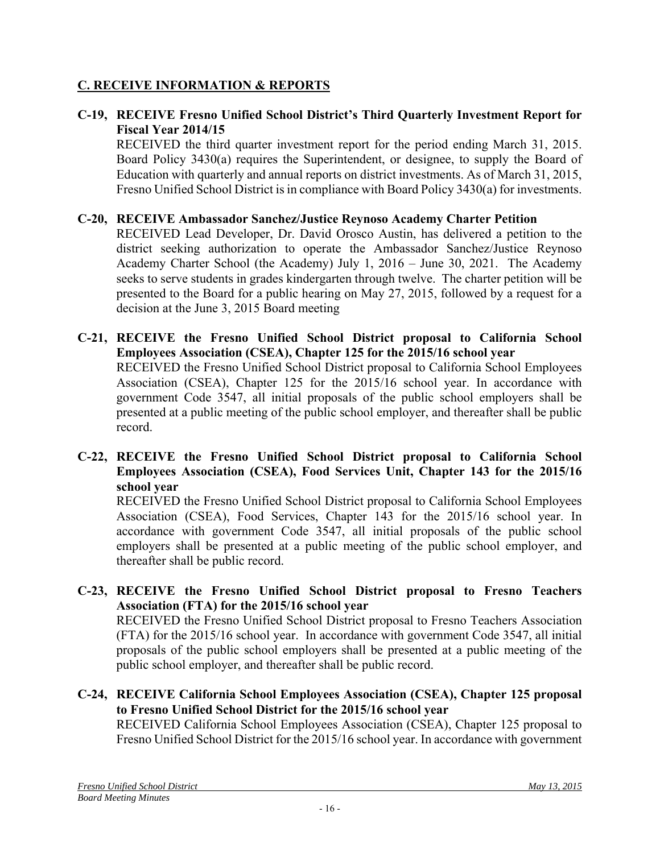## **C. RECEIVE INFORMATION & REPORTS**

### **C-19, RECEIVE Fresno Unified School District's Third Quarterly Investment Report for Fiscal Year 2014/15**

RECEIVED the third quarter investment report for the period ending March 31, 2015. Board Policy 3430(a) requires the Superintendent, or designee, to supply the Board of Education with quarterly and annual reports on district investments. As of March 31, 2015, Fresno Unified School District is in compliance with Board Policy 3430(a) for investments.

### **C-20, RECEIVE Ambassador Sanchez/Justice Reynoso Academy Charter Petition**

RECEIVED Lead Developer, Dr. David Orosco Austin, has delivered a petition to the district seeking authorization to operate the Ambassador Sanchez/Justice Reynoso Academy Charter School (the Academy) July 1, 2016 – June 30, 2021. The Academy seeks to serve students in grades kindergarten through twelve. The charter petition will be presented to the Board for a public hearing on May 27, 2015, followed by a request for a decision at the June 3, 2015 Board meeting

- **C-21, RECEIVE the Fresno Unified School District proposal to California School Employees Association (CSEA), Chapter 125 for the 2015/16 school year**  RECEIVED the Fresno Unified School District proposal to California School Employees Association (CSEA), Chapter 125 for the 2015/16 school year. In accordance with government Code 3547, all initial proposals of the public school employers shall be presented at a public meeting of the public school employer, and thereafter shall be public record.
- **C-22, RECEIVE the Fresno Unified School District proposal to California School Employees Association (CSEA), Food Services Unit, Chapter 143 for the 2015/16 school year**

RECEIVED the Fresno Unified School District proposal to California School Employees Association (CSEA), Food Services, Chapter 143 for the 2015/16 school year. In accordance with government Code 3547, all initial proposals of the public school employers shall be presented at a public meeting of the public school employer, and thereafter shall be public record.

**C-23, RECEIVE the Fresno Unified School District proposal to Fresno Teachers Association (FTA) for the 2015/16 school year** 

RECEIVED the Fresno Unified School District proposal to Fresno Teachers Association (FTA) for the 2015/16 school year. In accordance with government Code 3547, all initial proposals of the public school employers shall be presented at a public meeting of the public school employer, and thereafter shall be public record.

**C-24, RECEIVE California School Employees Association (CSEA), Chapter 125 proposal to Fresno Unified School District for the 2015/16 school year** 

RECEIVED California School Employees Association (CSEA), Chapter 125 proposal to Fresno Unified School District for the 2015/16 school year. In accordance with government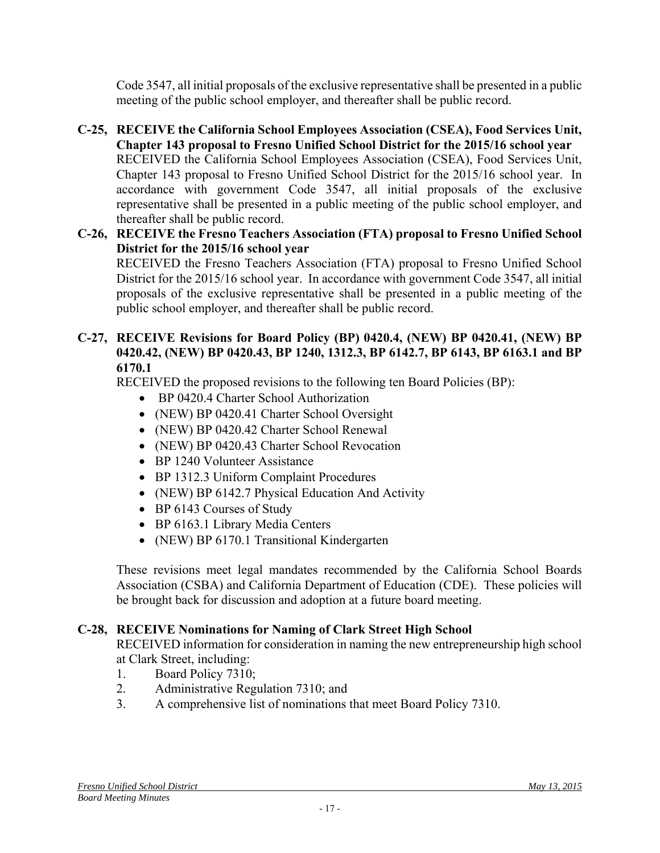Code 3547, all initial proposals of the exclusive representative shall be presented in a public meeting of the public school employer, and thereafter shall be public record.

- **C-25, RECEIVE the California School Employees Association (CSEA), Food Services Unit, Chapter 143 proposal to Fresno Unified School District for the 2015/16 school year** RECEIVED the California School Employees Association (CSEA), Food Services Unit, Chapter 143 proposal to Fresno Unified School District for the 2015/16 school year. In accordance with government Code 3547, all initial proposals of the exclusive representative shall be presented in a public meeting of the public school employer, and thereafter shall be public record.
- **C-26, RECEIVE the Fresno Teachers Association (FTA) proposal to Fresno Unified School District for the 2015/16 school year**

RECEIVED the Fresno Teachers Association (FTA) proposal to Fresno Unified School District for the 2015/16 school year. In accordance with government Code 3547, all initial proposals of the exclusive representative shall be presented in a public meeting of the public school employer, and thereafter shall be public record.

### **C-27, RECEIVE Revisions for Board Policy (BP) 0420.4, (NEW) BP 0420.41, (NEW) BP 0420.42, (NEW) BP 0420.43, BP 1240, 1312.3, BP 6142.7, BP 6143, BP 6163.1 and BP 6170.1**

RECEIVED the proposed revisions to the following ten Board Policies (BP):

- BP 0420.4 Charter School Authorization
- (NEW) BP 0420.41 Charter School Oversight
- (NEW) BP 0420.42 Charter School Renewal
- (NEW) BP 0420.43 Charter School Revocation
- BP 1240 Volunteer Assistance
- BP 1312.3 Uniform Complaint Procedures
- (NEW) BP 6142.7 Physical Education And Activity
- BP 6143 Courses of Study
- BP 6163.1 Library Media Centers
- (NEW) BP 6170.1 Transitional Kindergarten

These revisions meet legal mandates recommended by the California School Boards Association (CSBA) and California Department of Education (CDE). These policies will be brought back for discussion and adoption at a future board meeting.

## **C-28, RECEIVE Nominations for Naming of Clark Street High School**

RECEIVED information for consideration in naming the new entrepreneurship high school at Clark Street, including:

- 1. Board Policy 7310;
- 2. Administrative Regulation 7310; and
- 3. A comprehensive list of nominations that meet Board Policy 7310.